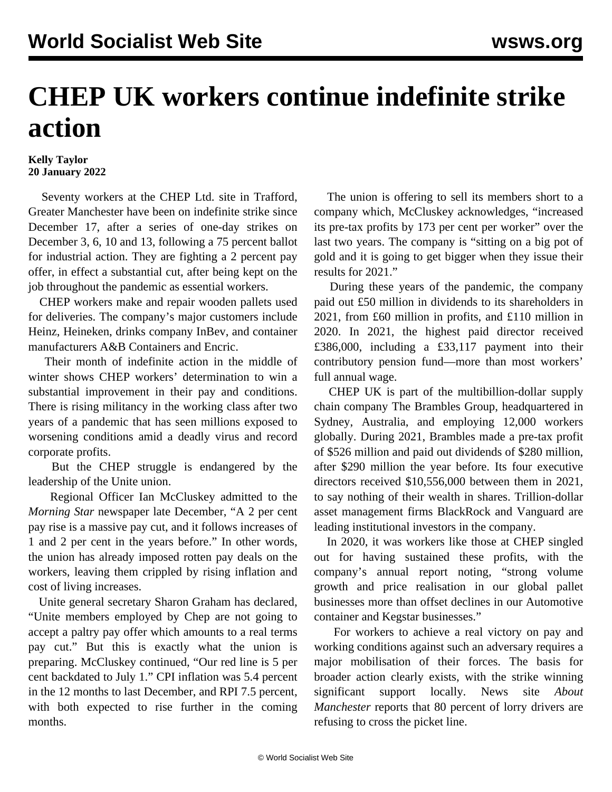## **CHEP UK workers continue indefinite strike action**

## **Kelly Taylor 20 January 2022**

 Seventy workers at the CHEP Ltd. site in Trafford, Greater Manchester have been on indefinite strike since December 17, after a series of one-day strikes on December 3, 6, 10 and 13, following a 75 percent ballot for industrial action. They are fighting a 2 percent pay offer, in effect a substantial cut, after being kept on the job throughout the pandemic as essential workers.

 CHEP workers make and repair wooden pallets used for deliveries. The company's major customers include Heinz, Heineken, drinks company InBev, and container manufacturers A&B Containers and Encric.

 Their month of indefinite action in the middle of winter shows CHEP workers' determination to win a substantial improvement in their pay and conditions. There is rising militancy in the working class after two years of a pandemic that has seen millions exposed to worsening conditions amid a deadly virus and record corporate profits.

 But the CHEP struggle is endangered by the leadership of the Unite union.

 Regional Officer Ian McCluskey admitted to the *Morning Star* newspaper late December, "A 2 per cent pay rise is a massive pay cut, and it follows increases of 1 and 2 per cent in the years before." In other words, the union has already imposed rotten pay deals on the workers, leaving them crippled by rising inflation and cost of living increases.

 Unite general secretary Sharon Graham has declared, "Unite members employed by Chep are not going to accept a paltry pay offer which amounts to a real terms pay cut." But this is exactly what the union is preparing. McCluskey continued, "Our red line is 5 per cent backdated to July 1." CPI inflation was 5.4 percent in the 12 months to last December, and RPI 7.5 percent, with both expected to rise further in the coming months.

 The union is offering to sell its members short to a company which, McCluskey acknowledges, "increased its pre-tax profits by 173 per cent per worker" over the last two years. The company is "sitting on a big pot of gold and it is going to get bigger when they issue their results for 2021."

 During these years of the pandemic, the company paid out £50 million in dividends to its shareholders in 2021, from £60 million in profits, and £110 million in 2020. In 2021, the highest paid director received £386,000, including a £33,117 payment into their contributory pension fund—more than most workers' full annual wage.

 CHEP UK is part of the multibillion-dollar supply chain company The Brambles Group, headquartered in Sydney, Australia, and employing 12,000 workers globally. During 2021, Brambles made a pre-tax profit of \$526 million and paid out dividends of \$280 million, after \$290 million the year before. Its four executive directors received \$10,556,000 between them in 2021, to say nothing of their wealth in shares. Trillion-dollar asset management firms BlackRock and Vanguard are leading institutional investors in the company.

 In 2020, it was workers like those at CHEP singled out for having sustained these profits, with the company's annual report noting, "strong volume growth and price realisation in our global pallet businesses more than offset declines in our Automotive container and Kegstar businesses."

 For workers to achieve a real victory on pay and working conditions against such an adversary requires a major mobilisation of their forces. The basis for broader action clearly exists, with the strike winning significant support locally. News site *About Manchester* reports that 80 percent of lorry drivers are refusing to cross the picket line.